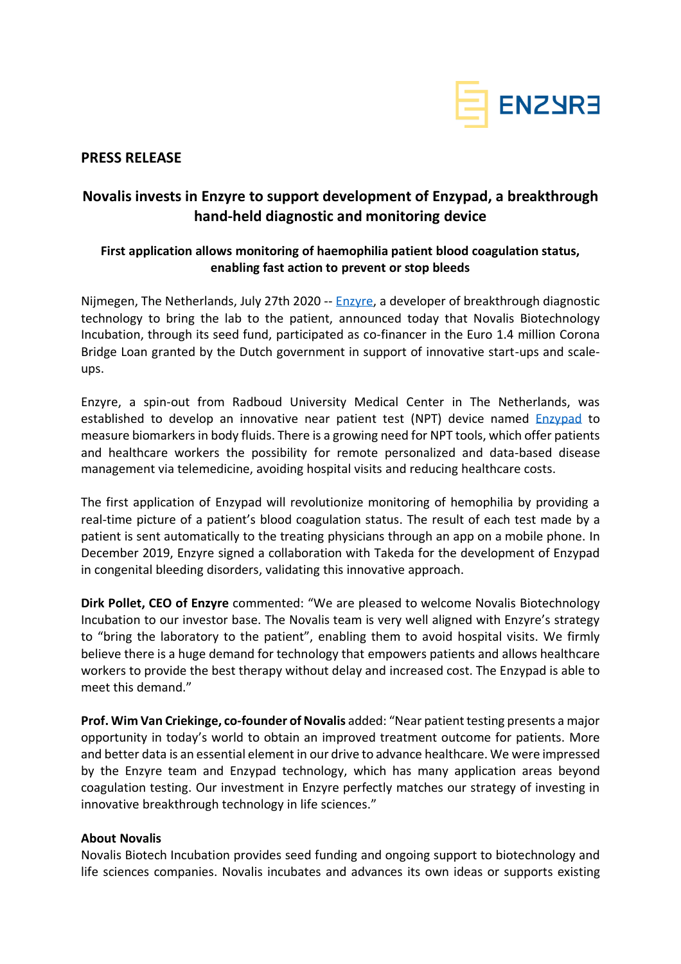

### **PRESS RELEASE**

# **Novalis invests in Enzyre to support development of Enzypad, a breakthrough hand-held diagnostic and monitoring device**

## **First application allows monitoring of haemophilia patient blood coagulation status, enabling fast action to prevent or stop bleeds**

Nijmegen, The Netherlands, July 27th 2020 -- [Enzyre,](https://enzyre.com/) a developer of breakthrough diagnostic technology to bring the lab to the patient, announced today that Novalis Biotechnology Incubation, through its seed fund, participated as co-financer in the Euro 1.4 million Corona Bridge Loan granted by the Dutch government in support of innovative start-ups and scaleups.

Enzyre, a spin-out from Radboud University Medical Center in The Netherlands, was established to develop an innovative near patient test (NPT) device named [Enzypad](https://enzyre.com/enzypad/) to measure biomarkers in body fluids. There is a growing need for NPT tools, which offer patients and healthcare workers the possibility for remote personalized and data-based disease management via telemedicine, avoiding hospital visits and reducing healthcare costs.

The first application of Enzypad will revolutionize monitoring of hemophilia by providing a real-time picture of a patient's blood coagulation status. The result of each test made by a patient is sent automatically to the treating physicians through an app on a mobile phone. In December 2019, Enzyre signed a collaboration with Takeda for the development of Enzypad in congenital bleeding disorders, validating this innovative approach.

**Dirk Pollet, CEO of Enzyre** commented: "We are pleased to welcome Novalis Biotechnology Incubation to our investor base. The Novalis team is very well aligned with Enzyre's strategy to "bring the laboratory to the patient", enabling them to avoid hospital visits. We firmly believe there is a huge demand for technology that empowers patients and allows healthcare workers to provide the best therapy without delay and increased cost. The Enzypad is able to meet this demand."

**Prof. Wim Van Criekinge, co-founder of Novalis added: "Near patient testing presents a major** opportunity in today's world to obtain an improved treatment outcome for patients. More and better data is an essential element in our drive to advance healthcare. We were impressed by the Enzyre team and Enzypad technology, which has many application areas beyond coagulation testing. Our investment in Enzyre perfectly matches our strategy of investing in innovative breakthrough technology in life sciences."

#### **About Novalis**

Novalis Biotech Incubation provides seed funding and ongoing support to biotechnology and life sciences companies. Novalis incubates and advances its own ideas or supports existing